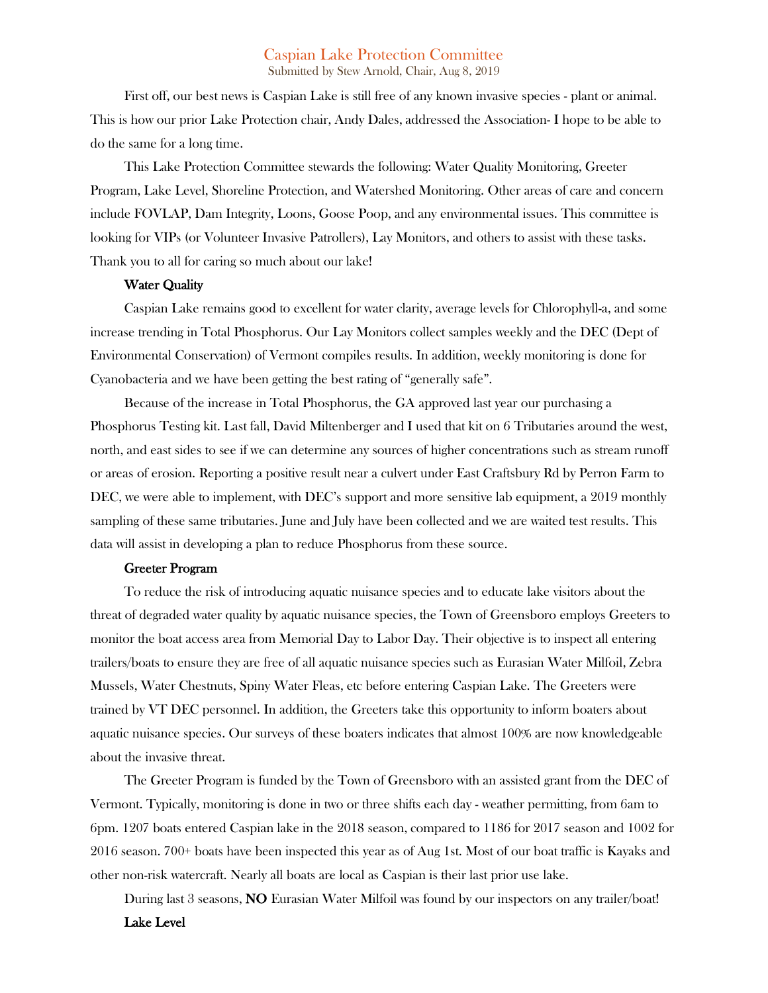# Caspian Lake Protection Committee

Submitted by Stew Arnold, Chair, Aug 8, 2019

First off, our best news is Caspian Lake is still free of any known invasive species - plant or animal. This is how our prior Lake Protection chair, Andy Dales, addressed the Association- I hope to be able to do the same for a long time.

This Lake Protection Committee stewards the following: Water Quality Monitoring, Greeter Program, Lake Level, Shoreline Protection, and Watershed Monitoring. Other areas of care and concern include FOVLAP, Dam Integrity, Loons, Goose Poop, and any environmental issues. This committee is looking for VIPs (or Volunteer Invasive Patrollers), Lay Monitors, and others to assist with these tasks. Thank you to all for caring so much about our lake!

### Water Quality

Caspian Lake remains good to excellent for water clarity, average levels for Chlorophyll-a, and some increase trending in Total Phosphorus. Our Lay Monitors collect samples weekly and the DEC (Dept of Environmental Conservation) of Vermont compiles results. In addition, weekly monitoring is done for Cyanobacteria and we have been getting the best rating of "generally safe".

Because of the increase in Total Phosphorus, the GA approved last year our purchasing a Phosphorus Testing kit. Last fall, David Miltenberger and I used that kit on 6 Tributaries around the west, north, and east sides to see if we can determine any sources of higher concentrations such as stream runoff or areas of erosion. Reporting a positive result near a culvert under East Craftsbury Rd by Perron Farm to DEC, we were able to implement, with DEC's support and more sensitive lab equipment, a 2019 monthly sampling of these same tributaries. June and July have been collected and we are waited test results. This data will assist in developing a plan to reduce Phosphorus from these source.

#### Greeter Program

To reduce the risk of introducing aquatic nuisance species and to educate lake visitors about the threat of degraded water quality by aquatic nuisance species, the Town of Greensboro employs Greeters to monitor the boat access area from Memorial Day to Labor Day. Their objective is to inspect all entering trailers/boats to ensure they are free of all aquatic nuisance species such as Eurasian Water Milfoil, Zebra Mussels, Water Chestnuts, Spiny Water Fleas, etc before entering Caspian Lake. The Greeters were trained by VT DEC personnel. In addition, the Greeters take this opportunity to inform boaters about aquatic nuisance species. Our surveys of these boaters indicates that almost 100% are now knowledgeable about the invasive threat.

The Greeter Program is funded by the Town of Greensboro with an assisted grant from the DEC of Vermont. Typically, monitoring is done in two or three shifts each day - weather permitting, from 6am to 6pm. 1207 boats entered Caspian lake in the 2018 season, compared to 1186 for 2017 season and 1002 for 2016 season. 700+ boats have been inspected this year as of Aug 1st. Most of our boat traffic is Kayaks and other non-risk watercraft. Nearly all boats are local as Caspian is their last prior use lake.

During last 3 seasons, NO Eurasian Water Milfoil was found by our inspectors on any trailer/boat!

Lake Level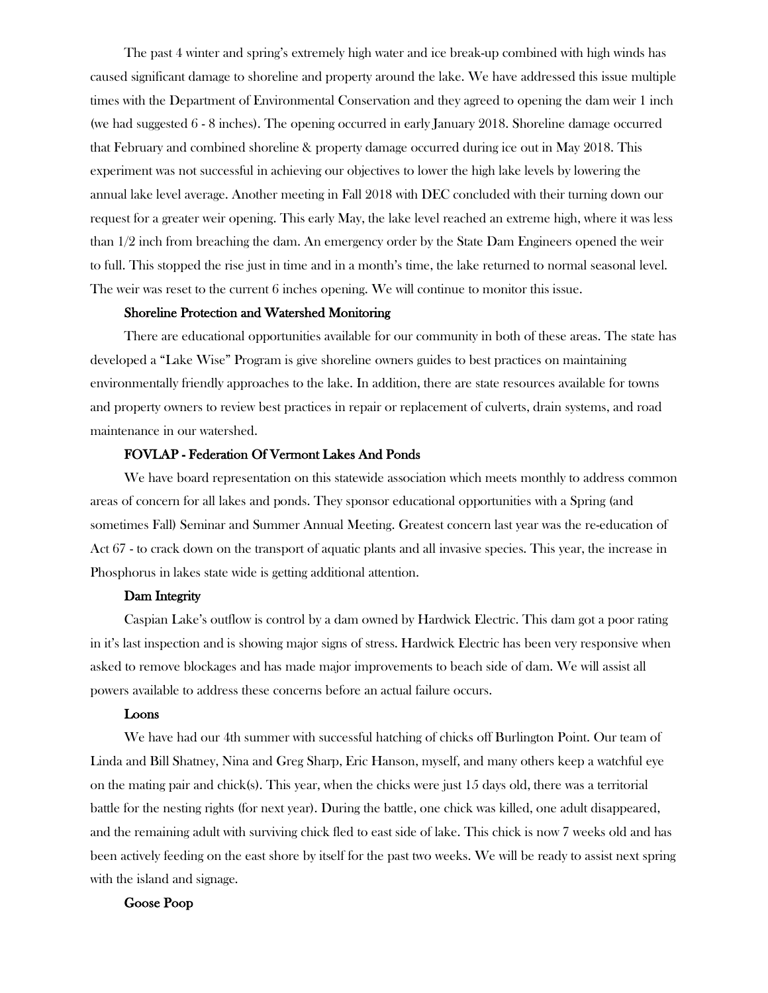The past 4 winter and spring's extremely high water and ice break-up combined with high winds has caused significant damage to shoreline and property around the lake. We have addressed this issue multiple times with the Department of Environmental Conservation and they agreed to opening the dam weir 1 inch (we had suggested 6 - 8 inches). The opening occurred in early January 2018. Shoreline damage occurred that February and combined shoreline & property damage occurred during ice out in May 2018. This experiment was not successful in achieving our objectives to lower the high lake levels by lowering the annual lake level average. Another meeting in Fall 2018 with DEC concluded with their turning down our request for a greater weir opening. This early May, the lake level reached an extreme high, where it was less than 1/2 inch from breaching the dam. An emergency order by the State Dam Engineers opened the weir to full. This stopped the rise just in time and in a month's time, the lake returned to normal seasonal level. The weir was reset to the current 6 inches opening. We will continue to monitor this issue.

## Shoreline Protection and Watershed Monitoring

There are educational opportunities available for our community in both of these areas. The state has developed a "Lake Wise" Program is give shoreline owners guides to best practices on maintaining environmentally friendly approaches to the lake. In addition, there are state resources available for towns and property owners to review best practices in repair or replacement of culverts, drain systems, and road maintenance in our watershed.

## FOVLAP - Federation Of Vermont Lakes And Ponds

We have board representation on this statewide association which meets monthly to address common areas of concern for all lakes and ponds. They sponsor educational opportunities with a Spring (and sometimes Fall) Seminar and Summer Annual Meeting. Greatest concern last year was the re-education of Act 67 - to crack down on the transport of aquatic plants and all invasive species. This year, the increase in Phosphorus in lakes state wide is getting additional attention.

### Dam Integrity

Caspian Lake's outflow is control by a dam owned by Hardwick Electric. This dam got a poor rating in it's last inspection and is showing major signs of stress. Hardwick Electric has been very responsive when asked to remove blockages and has made major improvements to beach side of dam. We will assist all powers available to address these concerns before an actual failure occurs.

### Loons

We have had our 4th summer with successful hatching of chicks off Burlington Point. Our team of Linda and Bill Shatney, Nina and Greg Sharp, Eric Hanson, myself, and many others keep a watchful eye on the mating pair and chick(s). This year, when the chicks were just 15 days old, there was a territorial battle for the nesting rights (for next year). During the battle, one chick was killed, one adult disappeared, and the remaining adult with surviving chick fled to east side of lake. This chick is now 7 weeks old and has been actively feeding on the east shore by itself for the past two weeks. We will be ready to assist next spring with the island and signage.

### Goose Poop